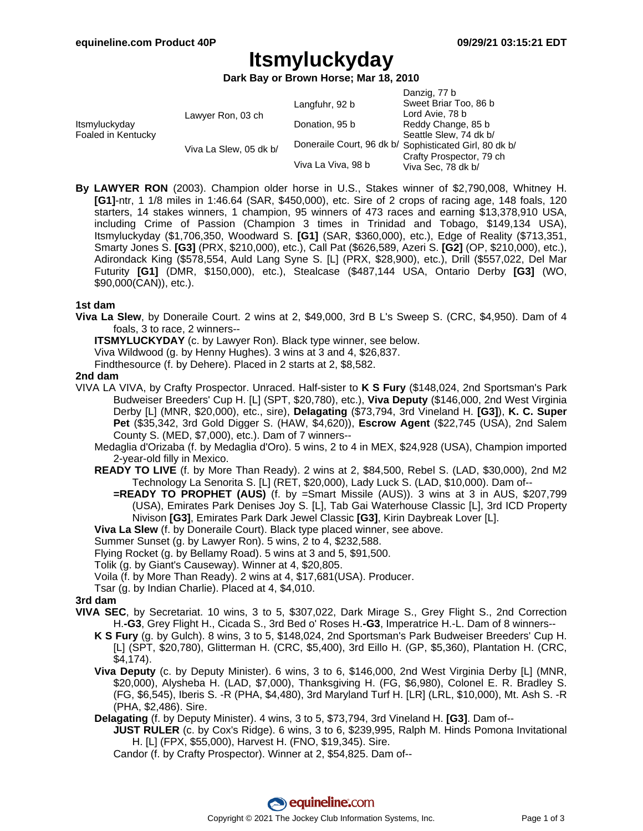Danzig, 77 b

# **Itsmyluckyday**

**Dark Bay or Brown Horse; Mar 18, 2010**

|                                     |                        |                    | Danziy, <i>II</i> D                                    |
|-------------------------------------|------------------------|--------------------|--------------------------------------------------------|
| Itsmyluckyday<br>Foaled in Kentucky | Lawyer Ron, 03 ch      | Langfuhr, 92 b     | Sweet Briar Too, 86 b                                  |
|                                     |                        |                    | Lord Avie, 78 b                                        |
|                                     |                        | Donation, 95 b     | Reddy Change, 85 b                                     |
|                                     | Viva La Slew, 05 dk b/ |                    | Seattle Slew, 74 dk b/                                 |
|                                     |                        |                    | Doneraile Court, 96 dk b/ Sophisticated Girl, 80 dk b/ |
|                                     |                        |                    | Crafty Prospector, 79 ch                               |
|                                     |                        | Viva La Viva, 98 b | Viva Sec, 78 dk b/                                     |
|                                     |                        |                    |                                                        |

**By LAWYER RON** (2003). Champion older horse in U.S., Stakes winner of \$2,790,008, Whitney H. **[G1]**-ntr, 1 1/8 miles in 1:46.64 (SAR, \$450,000), etc. Sire of 2 crops of racing age, 148 foals, 120 starters, 14 stakes winners, 1 champion, 95 winners of 473 races and earning \$13,378,910 USA, including Crime of Passion (Champion 3 times in Trinidad and Tobago, \$149,134 USA), Itsmyluckyday (\$1,706,350, Woodward S. **[G1]** (SAR, \$360,000), etc.), Edge of Reality (\$713,351, Smarty Jones S. **[G3]** (PRX, \$210,000), etc.), Call Pat (\$626,589, Azeri S. **[G2]** (OP, \$210,000), etc.), Adirondack King (\$578,554, Auld Lang Syne S. [L] (PRX, \$28,900), etc.), Drill (\$557,022, Del Mar Futurity **[G1]** (DMR, \$150,000), etc.), Stealcase (\$487,144 USA, Ontario Derby **[G3]** (WO, \$90,000(CAN)), etc.).

### **1st dam**

**Viva La Slew**, by Doneraile Court. 2 wins at 2, \$49,000, 3rd B L's Sweep S. (CRC, \$4,950). Dam of 4 foals, 3 to race, 2 winners--

**ITSMYLUCKYDAY** (c. by Lawyer Ron). Black type winner, see below. Viva Wildwood (g. by Henny Hughes). 3 wins at 3 and 4, \$26,837.

Findthesource (f. by Dehere). Placed in 2 starts at 2, \$8,582.

### **2nd dam**

- VIVA LA VIVA, by Crafty Prospector. Unraced. Half-sister to **K S Fury** (\$148,024, 2nd Sportsman's Park Budweiser Breeders' Cup H. [L] (SPT, \$20,780), etc.), **Viva Deputy** (\$146,000, 2nd West Virginia Derby [L] (MNR, \$20,000), etc., sire), **Delagating** (\$73,794, 3rd Vineland H. **[G3]**), **K. C. Super Pet** (\$35,342, 3rd Gold Digger S. (HAW, \$4,620)), **Escrow Agent** (\$22,745 (USA), 2nd Salem County S. (MED, \$7,000), etc.). Dam of 7 winners--
	- Medaglia d'Orizaba (f. by Medaglia d'Oro). 5 wins, 2 to 4 in MEX, \$24,928 (USA), Champion imported 2-year-old filly in Mexico.
	- **READY TO LIVE** (f. by More Than Ready). 2 wins at 2, \$84,500, Rebel S. (LAD, \$30,000), 2nd M2 Technology La Senorita S. [L] (RET, \$20,000), Lady Luck S. (LAD, \$10,000). Dam of--
		- **=READY TO PROPHET (AUS)** (f. by =Smart Missile (AUS)). 3 wins at 3 in AUS, \$207,799 (USA), Emirates Park Denises Joy S. [L], Tab Gai Waterhouse Classic [L], 3rd ICD Property Nivison **[G3]**, Emirates Park Dark Jewel Classic **[G3]**, Kirin Daybreak Lover [L].
	- **Viva La Slew** (f. by Doneraile Court). Black type placed winner, see above.
	- Summer Sunset (g. by Lawyer Ron). 5 wins, 2 to 4, \$232,588.
	- Flying Rocket (g. by Bellamy Road). 5 wins at 3 and 5, \$91,500.
	- Tolik (g. by Giant's Causeway). Winner at 4, \$20,805.
	- Voila (f. by More Than Ready). 2 wins at 4, \$17,681(USA). Producer.
	- Tsar (g. by Indian Charlie). Placed at 4, \$4,010.

### **3rd dam**

- **VIVA SEC**, by Secretariat. 10 wins, 3 to 5, \$307,022, Dark Mirage S., Grey Flight S., 2nd Correction H.**-G3**, Grey Flight H., Cicada S., 3rd Bed o' Roses H.**-G3**, Imperatrice H.-L. Dam of 8 winners--
	- **K S Fury** (g. by Gulch). 8 wins, 3 to 5, \$148,024, 2nd Sportsman's Park Budweiser Breeders' Cup H. [L] (SPT, \$20,780), Glitterman H. (CRC, \$5,400), 3rd Eillo H. (GP, \$5,360), Plantation H. (CRC, \$4,174).
	- **Viva Deputy** (c. by Deputy Minister). 6 wins, 3 to 6, \$146,000, 2nd West Virginia Derby [L] (MNR, \$20,000), Alysheba H. (LAD, \$7,000), Thanksgiving H. (FG, \$6,980), Colonel E. R. Bradley S. (FG, \$6,545), Iberis S. -R (PHA, \$4,480), 3rd Maryland Turf H. [LR] (LRL, \$10,000), Mt. Ash S. -R (PHA, \$2,486). Sire.
	- **Delagating** (f. by Deputy Minister). 4 wins, 3 to 5, \$73,794, 3rd Vineland H. **[G3]**. Dam of--
		- **JUST RULER** (c. by Cox's Ridge). 6 wins, 3 to 6, \$239,995, Ralph M. Hinds Pomona Invitational H. [L] (FPX, \$55,000), Harvest H. (FNO, \$19,345). Sire.

Candor (f. by Crafty Prospector). Winner at 2, \$54,825. Dam of--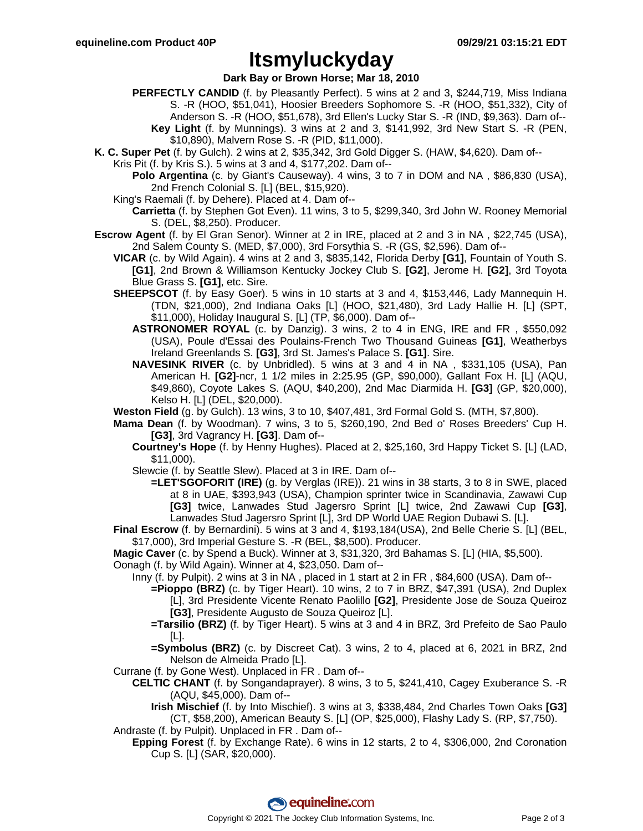## **Itsmyluckyday**

#### **Dark Bay or Brown Horse; Mar 18, 2010**

- **PERFECTLY CANDID** (f. by Pleasantly Perfect). 5 wins at 2 and 3, \$244,719, Miss Indiana S. -R (HOO, \$51,041), Hoosier Breeders Sophomore S. -R (HOO, \$51,332), City of Anderson S. -R (HOO, \$51,678), 3rd Ellen's Lucky Star S. -R (IND, \$9,363). Dam of--
	- **Key Light** (f. by Munnings). 3 wins at 2 and 3, \$141,992, 3rd New Start S. -R (PEN, \$10,890), Malvern Rose S. -R (PID, \$11,000).
- **K. C. Super Pet** (f. by Gulch). 2 wins at 2, \$35,342, 3rd Gold Digger S. (HAW, \$4,620). Dam of--
	- Kris Pit (f. by Kris S.). 5 wins at 3 and 4, \$177,202. Dam of--
		- **Polo Argentina** (c. by Giant's Causeway). 4 wins, 3 to 7 in DOM and NA, \$86,830 (USA), 2nd French Colonial S. [L] (BEL, \$15,920).
		- King's Raemali (f. by Dehere). Placed at 4. Dam of--
			- **Carrietta** (f. by Stephen Got Even). 11 wins, 3 to 5, \$299,340, 3rd John W. Rooney Memorial S. (DEL, \$8,250). Producer.
- **Escrow Agent** (f. by El Gran Senor). Winner at 2 in IRE, placed at 2 and 3 in NA , \$22,745 (USA), 2nd Salem County S. (MED, \$7,000), 3rd Forsythia S. -R (GS, \$2,596). Dam of--
	- **VICAR** (c. by Wild Again). 4 wins at 2 and 3, \$835,142, Florida Derby **[G1]**, Fountain of Youth S. **[G1]**, 2nd Brown & Williamson Kentucky Jockey Club S. **[G2]**, Jerome H. **[G2]**, 3rd Toyota Blue Grass S. **[G1]**, etc. Sire.
	- **SHEEPSCOT** (f. by Easy Goer). 5 wins in 10 starts at 3 and 4, \$153,446, Lady Mannequin H. (TDN, \$21,000), 2nd Indiana Oaks [L] (HOO, \$21,480), 3rd Lady Hallie H. [L] (SPT, \$11,000), Holiday Inaugural S. [L] (TP, \$6,000). Dam of--
		- **ASTRONOMER ROYAL** (c. by Danzig). 3 wins, 2 to 4 in ENG, IRE and FR , \$550,092 (USA), Poule d'Essai des Poulains-French Two Thousand Guineas **[G1]**, Weatherbys Ireland Greenlands S. **[G3]**, 3rd St. James's Palace S. **[G1]**. Sire.
		- **NAVESINK RIVER** (c. by Unbridled). 5 wins at 3 and 4 in NA , \$331,105 (USA), Pan American H. **[G2]**-ncr, 1 1/2 miles in 2:25.95 (GP, \$90,000), Gallant Fox H. [L] (AQU, \$49,860), Coyote Lakes S. (AQU, \$40,200), 2nd Mac Diarmida H. **[G3]** (GP, \$20,000), Kelso H. [L] (DEL, \$20,000).
	- **Weston Field** (g. by Gulch). 13 wins, 3 to 10, \$407,481, 3rd Formal Gold S. (MTH, \$7,800).
	- **Mama Dean** (f. by Woodman). 7 wins, 3 to 5, \$260,190, 2nd Bed o' Roses Breeders' Cup H. **[G3]**, 3rd Vagrancy H. **[G3]**. Dam of--
		- **Courtney's Hope** (f. by Henny Hughes). Placed at 2, \$25,160, 3rd Happy Ticket S. [L] (LAD, \$11,000).
		- Slewcie (f. by Seattle Slew). Placed at 3 in IRE. Dam of--
			- **=LET'SGOFORIT (IRE)** (g. by Verglas (IRE)). 21 wins in 38 starts, 3 to 8 in SWE, placed at 8 in UAE, \$393,943 (USA), Champion sprinter twice in Scandinavia, Zawawi Cup **[G3]** twice, Lanwades Stud Jagersro Sprint [L] twice, 2nd Zawawi Cup **[G3]**, Lanwades Stud Jagersro Sprint [L], 3rd DP World UAE Region Dubawi S. [L].
	- **Final Escrow** (f. by Bernardini). 5 wins at 3 and 4, \$193,184(USA), 2nd Belle Cherie S. [L] (BEL, \$17,000), 3rd Imperial Gesture S. -R (BEL, \$8,500). Producer.
	- **Magic Caver** (c. by Spend a Buck). Winner at 3, \$31,320, 3rd Bahamas S. [L] (HIA, \$5,500).
	- Oonagh (f. by Wild Again). Winner at 4, \$23,050. Dam of--
		- Inny (f. by Pulpit). 2 wins at 3 in NA , placed in 1 start at 2 in FR , \$84,600 (USA). Dam of--
			- **=Pioppo (BRZ)** (c. by Tiger Heart). 10 wins, 2 to 7 in BRZ, \$47,391 (USA), 2nd Duplex [L], 3rd Presidente Vicente Renato Paolillo **[G2]**, Presidente Jose de Souza Queiroz **[G3]**, Presidente Augusto de Souza Queiroz [L].
			- **=Tarsilio (BRZ)** (f. by Tiger Heart). 5 wins at 3 and 4 in BRZ, 3rd Prefeito de Sao Paulo [L].
			- **=Symbolus (BRZ)** (c. by Discreet Cat). 3 wins, 2 to 4, placed at 6, 2021 in BRZ, 2nd Nelson de Almeida Prado [L].
	- Currane (f. by Gone West). Unplaced in FR . Dam of--
		- **CELTIC CHANT** (f. by Songandaprayer). 8 wins, 3 to 5, \$241,410, Cagey Exuberance S. -R (AQU, \$45,000). Dam of--
			- **Irish Mischief** (f. by Into Mischief). 3 wins at 3, \$338,484, 2nd Charles Town Oaks **[G3]** (CT, \$58,200), American Beauty S. [L] (OP, \$25,000), Flashy Lady S. (RP, \$7,750).
	- Andraste (f. by Pulpit). Unplaced in FR . Dam of-- **Epping Forest** (f. by Exchange Rate). 6 wins in 12 starts, 2 to 4, \$306,000, 2nd Coronation Cup S. [L] (SAR, \$20,000).